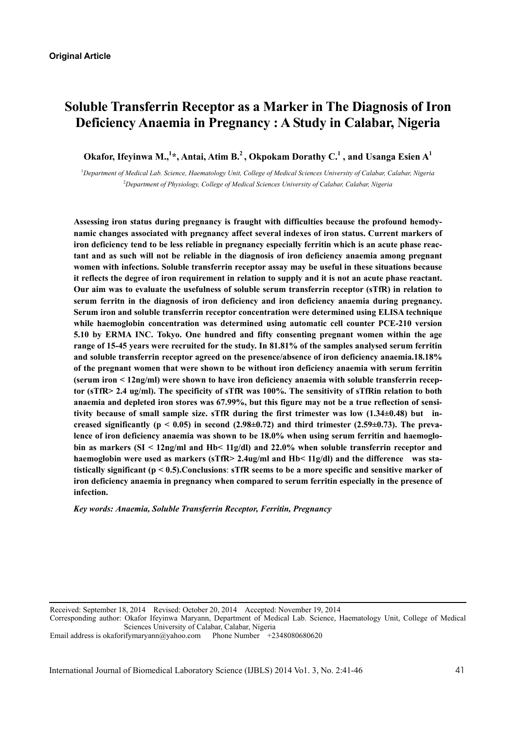# **Soluble Transferrin Receptor as a Marker in The Diagnosis of Iron Deficiency Anaemia in Pregnancy : A Study in Calabar, Nigeria**

Okafor, Ifeyinwa M.,<sup>1\*</sup>, Antai, Atim B.<sup>2</sup>, Okpokam Dorathy C.<sup>1</sup>, and Usanga Esien A<sup>1</sup>

<sup>1</sup>Department of Medical Lab. Science, Haematology Unit, College of Medical Sciences University of Calabar, Calabar, Nigeria 2 *Department of Physiology, College of Medical Sciences University of Calabar, Calabar, Nigeria* 

**Assessing iron status during pregnancy is fraught with difficulties because the profound hemodynamic changes associated with pregnancy affect several indexes of iron status. Current markers of iron deficiency tend to be less reliable in pregnancy especially ferritin which is an acute phase reactant and as such will not be reliable in the diagnosis of iron deficiency anaemia among pregnant women with infections. Soluble transferrin receptor assay may be useful in these situations because it reflects the degree of iron requirement in relation to supply and it is not an acute phase reactant. Our aim was to evaluate the usefulness of soluble serum transferrin receptor (sTfR) in relation to serum ferritn in the diagnosis of iron deficiency and iron deficiency anaemia during pregnancy. Serum iron and soluble transferrin receptor concentration were determined using ELISA technique while haemoglobin concentration was determined using automatic cell counter PCE-210 version 5.10 by ERMA INC. Tokyo. One hundred and fifty consenting pregnant women within the age range of 15-45 years were recruited for the study. In 81.81% of the samples analysed serum ferritin and soluble transferrin receptor agreed on the presence/absence of iron deficiency anaemia.18.18% of the pregnant women that were shown to be without iron deficiency anaemia with serum ferritin (serum iron < 12ng/ml) were shown to have iron deficiency anaemia with soluble transferrin receptor (sTfR> 2.4 ug/ml). The specificity of sTfR was 100%. The sensitivity of sTfRin relation to both anaemia and depleted iron stores was 67.99%, but this figure may not be a true reflection of sensitivity because of small sample size. sTfR during the first trimester was low (1.34±0.48) but increased significantly (p < 0.05) in second (2.98±0.72) and third trimester (2.59±0.73). The prevalence of iron deficiency anaemia was shown to be 18.0% when using serum ferritin and haemoglobin as markers (SI < 12ng/ml and Hb< 11g/dl) and 22.0% when soluble transferrin receptor and haemoglobin were used as markers (sTfR> 2.4ug/ml and Hb< 11g/dl) and the difference was statistically significant (p < 0.5).Conclusions**: **sTfR seems to be a more specific and sensitive marker of iron deficiency anaemia in pregnancy when compared to serum ferritin especially in the presence of infection.** 

*Key words: Anaemia, Soluble Transferrin Receptor, Ferritin, Pregnancy* 

Received: September 18, 2014 Revised: October 20, 2014 Accepted: November 19, 2014

Corresponding author: Okafor Ifeyinwa Maryann, Department of Medical Lab. Science, Haematology Unit, College of Medical Sciences University of Calabar, Calabar, Nigeria

Email address is okaforifymaryann@yahoo.com Phone Number +2348080680620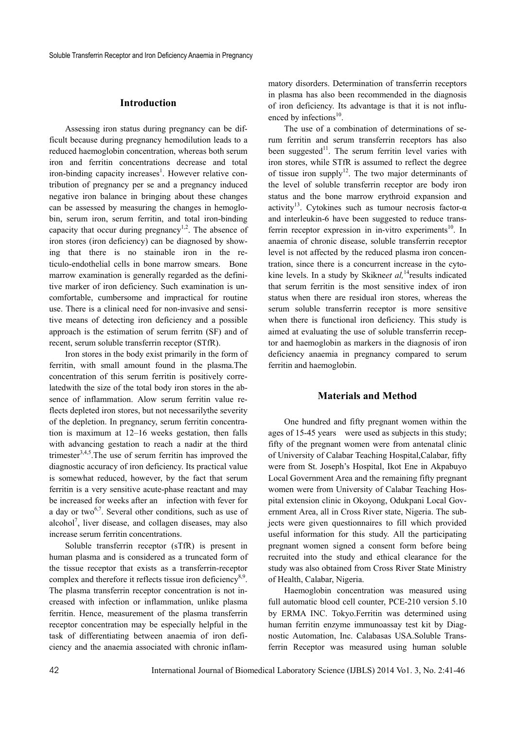### **Introduction**

Assessing iron status during pregnancy can be difficult because during pregnancy hemodilution leads to a reduced haemoglobin concentration, whereas both serum iron and ferritin concentrations decrease and total iron-binding capacity increases<sup>1</sup>. However relative contribution of pregnancy per se and a pregnancy induced negative iron balance in bringing about these changes can be assessed by measuring the changes in hemoglobin, serum iron, serum ferritin, and total iron-binding capacity that occur during pregnancy<sup>1,2</sup>. The absence of iron stores (iron deficiency) can be diagnosed by showing that there is no stainable iron in the reticulo-endothelial cells in bone marrow smears. Bone marrow examination is generally regarded as the definitive marker of iron deficiency. Such examination is uncomfortable, cumbersome and impractical for routine use. There is a clinical need for non-invasive and sensitive means of detecting iron deficiency and a possible approach is the estimation of serum ferritn (SF) and of recent, serum soluble transferrin receptor (STfR).

Iron stores in the body exist primarily in the form of ferritin, with small amount found in the plasma.The concentration of this serum ferritin is positively correlatedwith the size of the total body iron stores in the absence of inflammation. Alow serum ferritin value reflects depleted iron stores, but not necessarilythe severity of the depletion. In pregnancy, serum ferritin concentration is maximum at 12–16 weeks gestation, then falls with advancing gestation to reach a nadir at the third trimester $3,4,5$ . The use of serum ferritin has improved the diagnostic accuracy of iron deficiency. Its practical value is somewhat reduced, however, by the fact that serum ferritin is a very sensitive acute-phase reactant and may be increased for weeks after an infection with fever for a day or two<sup>6,7</sup>. Several other conditions, such as use of alcohol<sup>7</sup>, liver disease, and collagen diseases, may also increase serum ferritin concentrations.

Soluble transferrin receptor (sTfR) is present in human plasma and is considered as a truncated form of the tissue receptor that exists as a transferrin-receptor complex and therefore it reflects tissue iron deficiency<sup>8,9</sup>. The plasma transferrin receptor concentration is not increased with infection or inflammation, unlike plasma ferritin. Hence, measurement of the plasma transferrin receptor concentration may be especially helpful in the task of differentiating between anaemia of iron deficiency and the anaemia associated with chronic inflammatory disorders. Determination of transferrin receptors in plasma has also been recommended in the diagnosis of iron deficiency. Its advantage is that it is not influenced by infections $10$ .

The use of a combination of determinations of serum ferritin and serum transferrin receptors has also been suggested<sup>11</sup>. The serum ferritin level varies with iron stores, while STfR is assumed to reflect the degree of tissue iron supply<sup>12</sup>. The two major determinants of the level of soluble transferrin receptor are body iron status and the bone marrow erythroid expansion and activity<sup>13</sup>. Cytokines such as tumour necrosis factor- $\alpha$ and interleukin-6 have been suggested to reduce transferrin receptor expression in in-vitro experiments<sup>10</sup>. In anaemia of chronic disease, soluble transferrin receptor level is not affected by the reduced plasma iron concentration, since there is a concurrent increase in the cytokine levels. In a study by Skikneet al,<sup>14</sup>results indicated that serum ferritin is the most sensitive index of iron status when there are residual iron stores, whereas the serum soluble transferrin receptor is more sensitive when there is functional iron deficiency. This study is aimed at evaluating the use of soluble transferrin receptor and haemoglobin as markers in the diagnosis of iron deficiency anaemia in pregnancy compared to serum ferritin and haemoglobin.

# **Materials and Method**

One hundred and fifty pregnant women within the ages of 15-45 years were used as subjects in this study; fifty of the pregnant women were from antenatal clinic of University of Calabar Teaching Hospital,Calabar, fifty were from St. Joseph's Hospital, Ikot Ene in Akpabuyo Local Government Area and the remaining fifty pregnant women were from University of Calabar Teaching Hospital extension clinic in Okoyong, Odukpani Local Government Area, all in Cross River state, Nigeria. The subjects were given questionnaires to fill which provided useful information for this study. All the participating pregnant women signed a consent form before being recruited into the study and ethical clearance for the study was also obtained from Cross River State Ministry of Health, Calabar, Nigeria.

Haemoglobin concentration was measured using full automatic blood cell counter, PCE-210 version 5.10 by ERMA INC. Tokyo.Ferritin was determined using human ferritin enzyme immunoassay test kit by Diagnostic Automation, Inc. Calabasas USA.Soluble Transferrin Receptor was measured using human soluble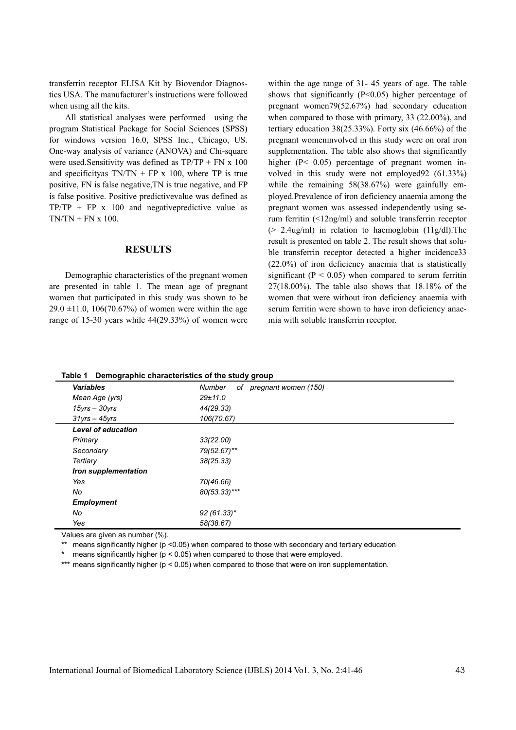transferrin receptor ELISA Kit by Biovendor Diagnostics USA. The manufacturer's instructions were followed when using all the kits.

All statistical analyses were performed using the program Statistical Package for Social Sciences (SPSS) for windows version 16.0, SPSS Inc., Chicago, US. One-way analysis of variance (ANOVA) and Chi-square were used.Sensitivity was defined as TP/TP + FN x 100 and specificityas  $TN/TN + FP \times 100$ , where TP is true positive, FN is false negative,TN is true negative, and FP is false positive. Positive predictivevalue was defined as  $TP/TP$  + FP x 100 and negativepredictive value as  $TN/TN + FN x 100$ .

#### **RESULTS**

Demographic characteristics of the pregnant women are presented in table 1. The mean age of pregnant women that participated in this study was shown to be  $29.0 \pm 11.0$ , 106(70.67%) of women were within the age range of 15-30 years while 44(29.33%) of women were within the age range of 31- 45 years of age. The table shows that significantly  $(P<0.05)$  higher percentage of pregnant women79(52.67%) had secondary education when compared to those with primary, 33 (22.00%), and tertiary education  $38(25.33%)$ . Forty six  $(46.66%)$  of the pregnant womeninvolved in this study were on oral iron supplementation. The table also shows that significantly higher (P< 0.05) percentage of pregnant women involved in this study were not employed92 (61.33%) while the remaining 58(38.67%) were gainfully employed.Prevalence of iron deficiency anaemia among the pregnant women was assessed independently using serum ferritin (<12ng/ml) and soluble transferrin receptor  $(> 2.4\mu g/ml)$  in relation to haemoglobin  $(11g/dl)$ . The result is presented on table 2. The result shows that soluble transferrin receptor detected a higher incidence33 (22.0%) of iron deficiency anaemia that is statistically significant ( $P < 0.05$ ) when compared to serum ferritin 27(18.00%). The table also shows that 18.18% of the women that were without iron deficiency anaemia with serum ferritin were shown to have iron deficiency anaemia with soluble transferrin receptor.

| Demographic characteristics of the study group<br>Table 1 |                                      |  |  |  |
|-----------------------------------------------------------|--------------------------------------|--|--|--|
| <b>Variables</b>                                          | Number<br>pregnant women (150)<br>of |  |  |  |
| Mean Age (yrs)                                            | 29±11.0                              |  |  |  |
| $15$ yrs – $30$ yrs                                       | 44(29.33)                            |  |  |  |
| $31$ vrs $-45$ vrs                                        | 106(70.67)                           |  |  |  |
| <b>Level of education</b>                                 |                                      |  |  |  |
| Primary                                                   | 33(22.00)                            |  |  |  |
| Secondary                                                 | 79(52.67)**                          |  |  |  |
| Tertiary                                                  | 38(25.33)                            |  |  |  |
| Iron supplementation                                      |                                      |  |  |  |
| Yes                                                       | 70(46.66)                            |  |  |  |
| No                                                        | $80(53.33)***$                       |  |  |  |
| <b>Employment</b>                                         |                                      |  |  |  |
| No                                                        | $92(61.33)^*$                        |  |  |  |
| Yes                                                       | 58(38.67)                            |  |  |  |

Values are given as number (%).

**\*\*** means significantly higher (p <0.05) when compared to those with secondary and tertiary education

**\*** means significantly higher (p < 0.05) when compared to those that were employed.

**\*\*\*** means significantly higher (p < 0.05) when compared to those that were on iron supplementation.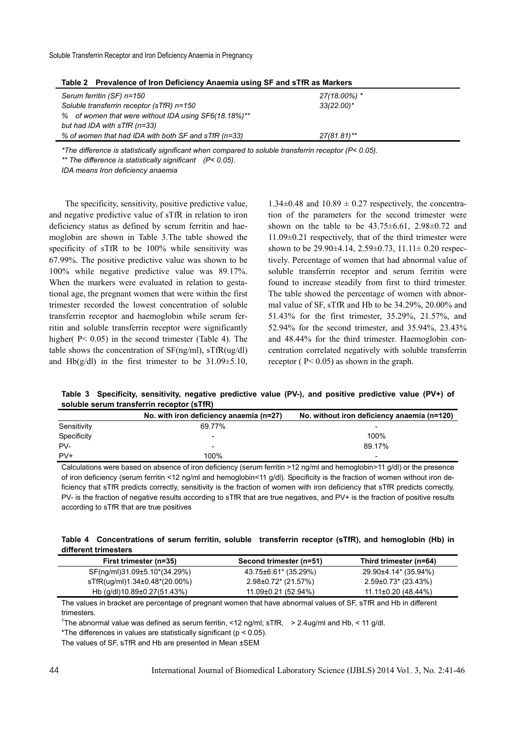| Table 2 FIEVAIGHCE OF HUILDEIICHICY ANAEIINA USING OF AND STIN AS MAINERS |                |  |  |  |  |
|---------------------------------------------------------------------------|----------------|--|--|--|--|
| Serum ferritin (SF) n=150                                                 | 27(18.00%) *   |  |  |  |  |
| Soluble transferrin receptor (sTfR) n=150                                 | $33(22.00)^*$  |  |  |  |  |
| % of women that were without IDA using SF6(18.18%)**                      |                |  |  |  |  |
| but had IDA with sTfR (n=33)                                              |                |  |  |  |  |
| % of women that had IDA with both SF and sTfR (n=33)                      | $27(81.81)$ ** |  |  |  |  |
|                                                                           |                |  |  |  |  |

**Table 2 Prevalence of Iron Deficiency Anaemia using SF and sTfR as Markers** 

*\*The difference is statistically significant when compared to soluble transferrin receptor (P< 0.05).* 

*\*\* The difference is statistically significant (P< 0.05).* 

*IDA means Iron deficiency anaemia* 

The specificity, sensitivity, positive predictive value, and negative predictive value of sTfR in relation to iron deficiency status as defined by serum ferritin and haemoglobin are shown in Table 3.The table showed the specificity of sTfR to be 100% while sensitivity was 67.99%. The positive predictive value was shown to be 100% while negative predictive value was 89.17%. When the markers were evaluated in relation to gestational age, the pregnant women that were within the first trimester recorded the lowest concentration of soluble transferrin receptor and haemoglobin while serum ferritin and soluble transferrin receptor were significantly higher(  $P < 0.05$ ) in the second trimester (Table 4). The table shows the concentration of  $SF(ng/ml)$ ,  $STfR(ug/dl)$ and Hb(g/dl) in the first trimester to be  $31.09 \pm 5.10$ ,

 $1.34\pm0.48$  and  $10.89 \pm 0.27$  respectively, the concentration of the parameters for the second trimester were shown on the table to be  $43.75 \pm 6.61$ ,  $2.98 \pm 0.72$  and 11.09±0.21 respectively, that of the third trimester were shown to be  $29.90\pm4.14$ ,  $2.59\pm0.73$ ,  $11.11\pm0.20$  respectively. Percentage of women that had abnormal value of soluble transferrin receptor and serum ferritin were found to increase steadily from first to third trimester. The table showed the percentage of women with abnormal value of SF, sTfR and Hb to be 34.29%, 20.00% and 51.43% for the first trimester, 35.29%, 21.57%, and 52.94% for the second trimester, and 35.94%, 23.43% and 48.44% for the third trimester. Haemoglobin concentration correlated negatively with soluble transferrin receptor ( P< 0.05) as shown in the graph.

**Table 3 Specificity, sensitivity, negative predictive value (PV-), and positive predictive value (PV+) of soluble serum transferrin receptor (sTfR)** 

|             | No. with iron deficiency anaemia (n=27) | No. without iron deficiency anaemia (n=120) |
|-------------|-----------------------------------------|---------------------------------------------|
| Sensitivity | 69.77%                                  |                                             |
| Specificity | -                                       | 100%                                        |
| PV-         | -                                       | 89.17%                                      |
| $PV +$      | 100%                                    | ۰                                           |

Calculations were based on absence of iron deficiency (serum ferritin >12 ng/ml and hemoglobin>11 g/dl) or the presence of iron deficiency (serum ferritin <12 ng/ml and hemoglobin<11 g/dl). Specificity is the fraction of women without iron deficiency that sTfR predicts correctly, sensitivity is the fraction of women with iron deficiency that sTfR predicts correctly, PV- is the fraction of negative results according to sTfR that are true negatives, and PV+ is the fraction of positive results according to sTfR that are true positives

| Table 4 Concentrations of serum ferritin, soluble transferrin receptor (sTfR), and hemoglobin (Hb) in |  |  |  |  |
|-------------------------------------------------------------------------------------------------------|--|--|--|--|
| different trimesters                                                                                  |  |  |  |  |

| First trimester (n=35)            | Second trimester (n=51) | Third trimester (n=64) |
|-----------------------------------|-------------------------|------------------------|
| SF(ng/ml)31.09±5.10*(34.29%)      | 43.75±6.61* (35.29%)    | 29.90±4.14* (35.94%)   |
| sTfR(ug/ml)1.34±0.48*(20.00%)     | $2.98\pm0.72$ (21.57%)  | 2.59±0.73* (23.43%)    |
| Hb (g/dl)10.89 $\pm$ 0.27(51.43%) | 11.09±0.21 (52.94%)     | 11.11±0.20 (48.44%)    |

The values in bracket are percentage of pregnant women that have abnormal values of SF, sTfR and Hb in different trimesters.

<sup>1</sup>The abnormal value was defined as serum ferritin, <12 ng/ml; sTfR, > 2.4ug/ml and Hb, < 11 g/dl.

\*The differences in values are statistically significant ( $p < 0.05$ ).

The values of SF, sTfR and Hb are presented in Mean ±SEM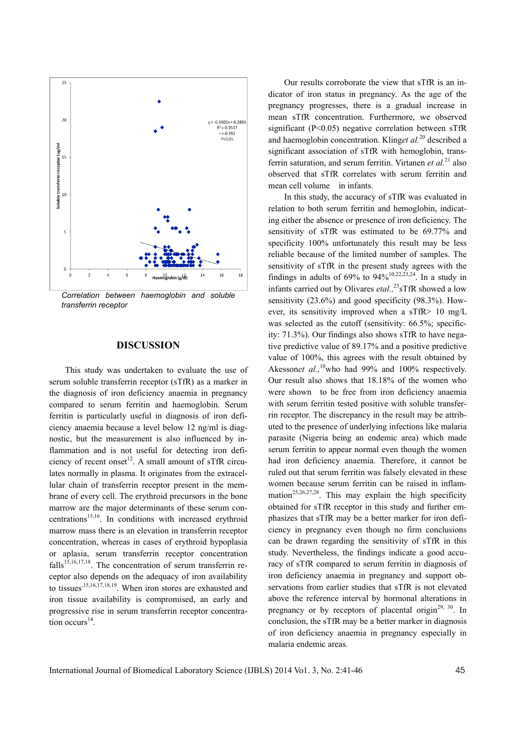

*transferrin receptor* 

## **DISCUSSION**

This study was undertaken to evaluate the use of serum soluble transferrin receptor (sTfR) as a marker in the diagnosis of iron deficiency anaemia in pregnancy compared to serum ferritin and haemoglobin. Serum ferritin is particularly useful in diagnosis of iron deficiency anaemia because a level below 12 ng/ml is diagnostic, but the measurement is also influenced by inflammation and is not useful for detecting iron deficiency of recent onset<sup>12</sup>. A small amount of sTfR circulates normally in plasma. It originates from the extracellular chain of transferrin receptor present in the membrane of every cell. The erythroid precursors in the bone marrow are the major determinants of these serum concentrations<sup>15,16</sup>. In conditions with increased erythroid marrow mass there is an elevation in transferrin receptor concentration, whereas in cases of erythroid hypoplasia or aplasia, serum transferrin receptor concentration  $falls<sup>15,16,17,18</sup>$ . The concentration of serum transferrin receptor also depends on the adequacy of iron availability to tissues<sup>,15,16,17,18,19</sup>. When iron stores are exhausted and iron tissue availability is compromised, an early and progressive rise in serum transferrin receptor concentration occurs $^{14}$ .

Our results corroborate the view that sTfR is an indicator of iron status in pregnancy. As the age of the pregnancy progresses, there is a gradual increase in mean sTfR concentration. Furthermore, we observed significant (P<0.05) negative correlation between sTfR and haemoglobin concentration. Kling*et al.*20 described a significant association of sTfR with hemoglobin, transferrin saturation, and serum ferritin. Virtanen *et al.*21 also observed that sTfR correlates with serum ferritin and mean cell volume in infants.

In this study, the accuracy of sTfR was evaluated in relation to both serum ferritin and hemoglobin, indicating either the absence or presence of iron deficiency. The sensitivity of sTfR was estimated to be 69.77% and specificity 100% unfortunately this result may be less reliable because of the limited number of samples. The sensitivity of sTfR in the present study agrees with the findings in adults of  $69\%$  to  $94\%$ <sup>10,22,23,24</sup>. In a study in infants carried out by Olivares *etal.*,<sup>23</sup>sTfR showed a low sensitivity (23.6%) and good specificity (98.3%). However, its sensitivity improved when a sTfR> 10 mg/L was selected as the cutoff (sensitivity: 66.5%; specificity: 71.3%). Our findings also shows sTfR to have negative predictive value of 89.17% and a positive predictive value of 100%, this agrees with the result obtained by Akessonet al.,<sup>10</sup>who had 99% and 100% respectively. Our result also shows that 18.18% of the women who were shown to be free from iron deficiency anaemia with serum ferritin tested positive with soluble transferrin receptor. The discrepancy in the result may be attributed to the presence of underlying infections like malaria parasite (Nigeria being an endemic area) which made serum ferritin to appear normal even though the women had iron deficiency anaemia. Therefore, it cannot be ruled out that serum ferritin was falsely elevated in these women because serum ferritin can be raised in inflammation<sup>25,26,27,28</sup>. This may explain the high specificity obtained for sTfR receptor in this study and further emphasizes that sTfR may be a better marker for iron deficiency in pregnancy even though no firm conclusions can be drawn regarding the sensitivity of sTfR in this study. Nevertheless, the findings indicate a good accuracy of sTfR compared to serum ferritin in diagnosis of iron deficiency anaemia in pregnancy and support observations from earlier studies that sTfR is not elevated above the reference interval by hormonal alterations in pregnancy or by receptors of placental origin $2^{29}$ ,  $30$ . In conclusion, the sTfR may be a better marker in diagnosis of iron deficiency anaemia in pregnancy especially in malaria endemic areas.